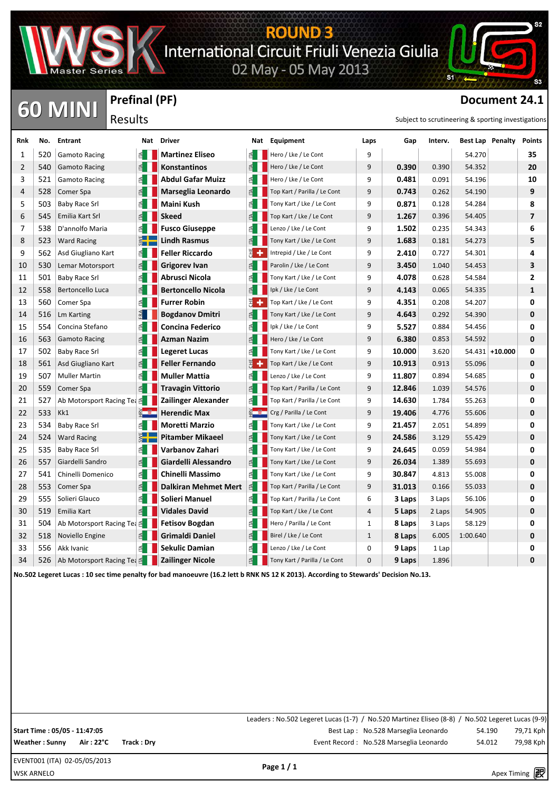

**Prefinal (PF)**

Results

## ROUND 3<br>International Circuit Friuli Venezia Giulia<br>02 May - 05 May 2013

**CO MINI** Results<br> **Document 24.1**<br>
Results

**S1** 

| Rnk            | No. | <b>Entrant</b>                        |    | Nat Driver                |     | Nat Equipment                                                                                                                       | Laps         | Gap    | Interv. | <b>Best Lap Penalty</b> |                   | <b>Points</b>  |
|----------------|-----|---------------------------------------|----|---------------------------|-----|-------------------------------------------------------------------------------------------------------------------------------------|--------------|--------|---------|-------------------------|-------------------|----------------|
| 1              | 520 | <b>Gamoto Racing</b>                  | ≝∣ | <b>Martinez Eliseo</b>    |     | Hero / Lke / Le Cont                                                                                                                | 9            |        |         | 54.270                  |                   | 35             |
| $\overline{2}$ | 540 | <b>Gamoto Racing</b>                  | 旬  | Konstantinos              |     | Hero / Lke / Le Cont                                                                                                                | 9            | 0.390  | 0.390   | 54.352                  |                   | 20             |
| 3              | 521 | <b>Gamoto Racing</b>                  | 죕  | <b>Abdul Gafar Muizz</b>  | 1≦  | Hero / Lke / Le Cont                                                                                                                | 9            | 0.481  | 0.091   | 54.196                  |                   | 10             |
| 4              | 528 | Comer Spa                             |    | Marseglia Leonardo        |     | Top Kart / Parilla / Le Cont                                                                                                        | 9            | 0.743  | 0.262   | 54.190                  |                   | 9              |
| 5              | 503 | Baby Race Srl                         |    | Maini Kush                | 14. | Tony Kart / Lke / Le Cont                                                                                                           | 9            | 0.871  | 0.128   | 54.284                  |                   | 8              |
| 6              | 545 | Emilia Kart Srl                       |    | <b>Skeed</b>              |     | Top Kart / Lke / Le Cont                                                                                                            | 9            | 1.267  | 0.396   | 54.405                  |                   | $\overline{ }$ |
| 7              | 538 | D'annolfo Maria                       |    | <b>Fusco Giuseppe</b>     |     | Lenzo / Lke / Le Cont                                                                                                               | 9            | 1.502  | 0.235   | 54.343                  |                   | 6              |
| 8              | 523 | <b>Ward Racing</b>                    |    | Lindh Rasmus              |     | Tony Kart / Lke / Le Cont                                                                                                           | 9            | 1.683  | 0.181   | 54.273                  |                   | 5              |
| 9              | 562 | Asd Giugliano Kart                    | ≅  | <b>Feller Riccardo</b>    |     | Intrepid / Lke / Le Cont                                                                                                            | 9            | 2.410  | 0.727   | 54.301                  |                   | 4              |
| 10             | 530 | Lemar Motorsport                      |    | Grigorev Ivan             |     | Parolin / Lke / Le Cont                                                                                                             | 9            | 3.450  | 1.040   | 54.453                  |                   | 3              |
| 11             | 501 | <b>Baby Race Srl</b>                  | ₫  | Abrusci Nicola            |     | Tony Kart / Lke / Le Cont                                                                                                           | 9            | 4.078  | 0.628   | 54.584                  |                   | 2              |
| 12             | 558 | Bertoncello Luca                      |    | <b>Bertoncello Nicola</b> |     | Ipk / Lke / Le Cont                                                                                                                 | 9            | 4.143  | 0.065   | 54.335                  |                   | 1              |
| 13             | 560 | Comer Spa                             |    | <b>Furrer Robin</b>       |     | Top Kart / Lke / Le Cont                                                                                                            | 9            | 4.351  | 0.208   | 54.207                  |                   | 0              |
| 14             | 516 | <b>Lm Karting</b>                     |    | <b>Bogdanov Dmitri</b>    |     | Tony Kart / Lke / Le Cont                                                                                                           | 9            | 4.643  | 0.292   | 54.390                  |                   | 0              |
| 15             | 554 | Concina Stefano                       |    | <b>Concina Federico</b>   |     | Ipk / Lke / Le Cont                                                                                                                 | 9            | 5.527  | 0.884   | 54.456                  |                   | 0              |
| 16             | 563 | <b>Gamoto Racing</b>                  |    | Azman Nazim               |     | Hero / Lke / Le Cont                                                                                                                | 9            | 6.380  | 0.853   | 54.592                  |                   | 0              |
| 17             | 502 | Baby Race Srl                         |    | Legeret Lucas             |     | Tony Kart / Lke / Le Cont                                                                                                           | 9            | 10.000 | 3.620   |                         | $54.431 + 10.000$ | 0              |
| 18             | 561 | Asd Giugliano Kart                    |    | Feller Fernando           |     | Top Kart / Lke / Le Cont                                                                                                            | 9            | 10.913 | 0.913   | 55.096                  |                   | 0              |
| 19             | 507 | <b>Muller Martin</b>                  | 된  | Muller Mattia             |     | Lenzo / Lke / Le Cont                                                                                                               | 9            | 11.807 | 0.894   | 54.685                  |                   | 0              |
| 20             | 559 | Comer Spa                             | 1≦ | Travagin Vittorio         |     | Top Kart / Parilla / Le Cont                                                                                                        | 9            | 12.846 | 1.039   | 54.576                  |                   | 0              |
| 21             | 527 | Ab Motorsport Racing Tea E            |    | Zailinger Alexander       |     | Top Kart / Parilla / Le Cont                                                                                                        | 9            | 14.630 | 1.784   | 55.263                  |                   | 0              |
| 22             | 533 | Kk1                                   |    | <b>Herendic Max</b>       |     | Crg / Parilla / Le Cont                                                                                                             | 9            | 19.406 | 4.776   | 55.606                  |                   | 0              |
| 23             | 534 | <b>Baby Race Srl</b>                  |    | Moretti Marzio            |     | Tony Kart / Lke / Le Cont                                                                                                           | 9            | 21.457 | 2.051   | 54.899                  |                   | 0              |
| 24             | 524 | <b>Ward Racing</b>                    |    | <b>Pitamber Mikaeel</b>   |     | Tony Kart / Lke / Le Cont                                                                                                           | 9            | 24.586 | 3.129   | 55.429                  |                   | 0              |
| 25             | 535 | <b>Baby Race Srl</b>                  | ₫  | Varbanov Zahari           |     | Tony Kart / Lke / Le Cont                                                                                                           | 9            | 24.645 | 0.059   | 54.984                  |                   | 0              |
| 26             | 557 | Giardelli Sandro                      |    | Giardelli Alessandro      |     | Tony Kart / Lke / Le Cont                                                                                                           | 9            | 26.034 | 1.389   | 55.693                  |                   | 0              |
| 27             | 541 | Chinelli Domenico                     |    | Chinelli Massimo          |     | Tony Kart / Lke / Le Cont                                                                                                           | 9            | 30.847 | 4.813   | 55.008                  |                   | 0              |
| 28             | 553 | Comer Spa                             |    | Dalkiran Mehmet Mert      | 舀   | Top Kart / Parilla / Le Cont                                                                                                        | 9            | 31.013 | 0.166   | 55.033                  |                   | 0              |
| 29             | 555 | Solieri Glauco                        |    | <b>Solieri Manuel</b>     |     | Top Kart / Parilla / Le Cont                                                                                                        | 6            | 3 Laps | 3 Laps  | 56.106                  |                   | 0              |
| 30             | 519 | Emilia Kart                           |    | <b>Vidales David</b>      |     | Top Kart / Lke / Le Cont                                                                                                            | 4            | 5 Laps | 2 Laps  | 54.905                  |                   | 0              |
| 31             | 504 | Ab Motorsport Racing Tea <sup>e</sup> |    | <b>Fetisov Bogdan</b>     |     | Hero / Parilla / Le Cont                                                                                                            | $\mathbf{1}$ | 8 Laps | 3 Laps  | 58.129                  |                   | 0              |
| 32             | 518 | Noviello Engine                       |    | <b>Grimaldi Daniel</b>    |     | Birel / Lke / Le Cont                                                                                                               | $\mathbf{1}$ | 8 Laps | 6.005   | 1:00.640                |                   | 0              |
| 33             | 556 | Akk Ivanic                            | 1≦ | Sekulic Damian            |     | Lenzo / Lke / Le Cont                                                                                                               | 0            | 9 Laps | 1 Lap   |                         |                   | 0              |
| 34             | 526 | Ab Motorsport Racing Tea E            |    | <b>Zailinger Nicole</b>   |     | Tony Kart / Parilla / Le Cont                                                                                                       | 0            | 9 Laps | 1.896   |                         |                   | 0              |
|                |     |                                       |    |                           |     | No.502 Legeret Lucas : 10 sec time penalty for bad manoeuvre (16.2 lett b RNK NS 12 K 2013). According to Stewards' Decision No.13. |              |        |         |                         |                   |                |

Leaders : No.502 Legeret Lucas (1-7) / No.520 Martinez Eliseo (8-8) / No.502 Legeret Lucas (9-9) **Start Time : 05/05 - 11:47:05** Best Lap : No.528 Marseglia Leonardo 54.190 79,71 Kph Weather : Sunny Air : 22°C Track : Dry **Executed State of the Cord : No.528 Marseglia Leonardo** 54.012 79,98 Kph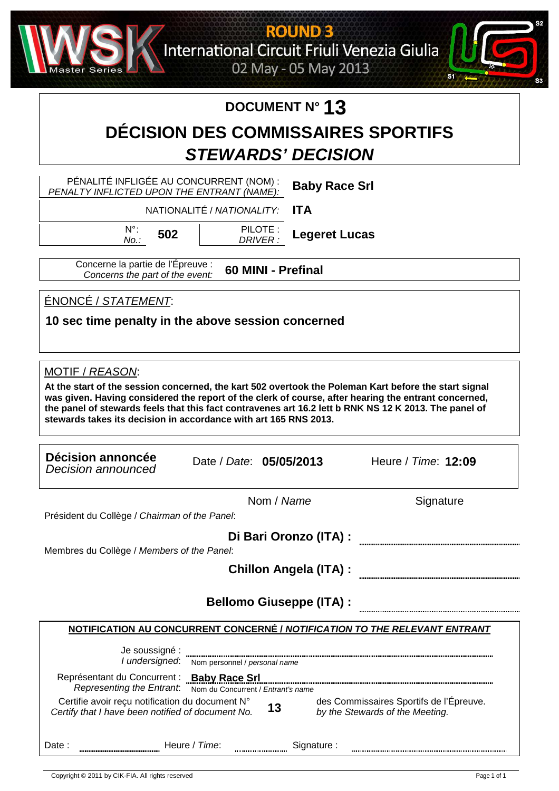

**ROUND 3** International Circuit Friuli Venezia Giulia

02 May - 05 May 2013



### **DOCUMENT N° 13**

### **DÉCISION DES COMMISSAIRES SPORTIFS STEWARDS' DECISION**

PÉNALITÉ INFLIGÉE AU CONCURRENT (NOM) : **Baby Race Srl** PENALTY INFLICTED UPON THE ENTRANT (NAME): NATIONALITÉ / NATIONALITY: **ITA** N°: PILOTE : **502 Legeret Lucas** No.: DRIVER : Concerne la partie de l'Épreuve : **60 MINI - Prefinal** Concerns the part of the event: ÉNONCÉ / STATEMENT: **10 sec time penalty in the above session concerned** MOTIF / REASON: **At the start of the session concerned, the kart 502 overtook the Poleman Kart before the start signal was given. Having considered the report of the clerk of course, after hearing the entrant concerned, the panel of stewards feels that this fact contravenes art 16.2 lett b RNK NS 12 K 2013. The panel of stewards takes its decision in accordance with art 165 RNS 2013. Décision annoncée Decision annoncee**<br>Decision announced **Date: 05/05/2013** Heure / Time: 12:09 Nom / Name Signature Président du Collège / Chairman of the Panel: **Di Bari Oronzo (ITA) :** Membres du Collège / Members of the Panel: **Chillon Angela (ITA) : Bellomo Giuseppe (ITA) :NOTIFICATION AU CONCURRENT CONCERNÉ / NOTIFICATION TO THE RELEVANT ENTRANT** Je soussigné : I undersigned: Nom personnel / personal name Représentant du Concurrent : **Baby Race Srl** Representing the Entrant: Nom du Concurrent / Entrant's name Certifie avoir reçu notification du document N° des Commissaires Sportifs de l'Épreuve. **13** Certify that I have been notified of document No. by the Stewards of the Meeting.

Date : Heure / Time: :erutangiS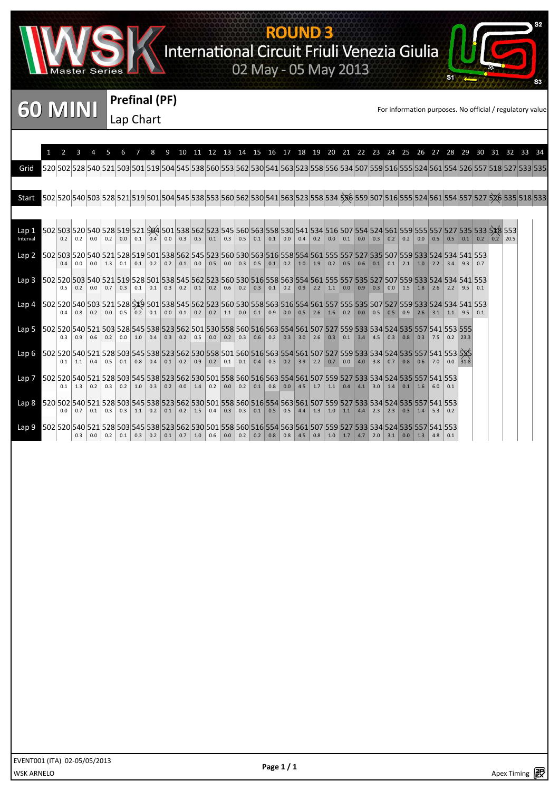

# ROUND 3<br>International Circuit Friuli Venezia Giulia<br>02 May - 05 May 2013



**Prefinal (PF)** Lap Chart

si

|                   |     |               |     |     |                                       |     | 8                                                                                                                                                                                                                                                                              | 9 |               |     |     |     |                                                                                 |           |                                   |  |  |                   |     |             |                   |             |             |      |               | 10 11 12 13 14 15 16 17 18 19 20 21 22 23 24 25 26 27 28 29 30 31 32 33 34                                                              |              |  |
|-------------------|-----|---------------|-----|-----|---------------------------------------|-----|--------------------------------------------------------------------------------------------------------------------------------------------------------------------------------------------------------------------------------------------------------------------------------|---|---------------|-----|-----|-----|---------------------------------------------------------------------------------|-----------|-----------------------------------|--|--|-------------------|-----|-------------|-------------------|-------------|-------------|------|---------------|-----------------------------------------------------------------------------------------------------------------------------------------|--------------|--|
| Grid              |     |               |     |     |                                       |     |                                                                                                                                                                                                                                                                                |   |               |     |     |     |                                                                                 |           |                                   |  |  |                   |     |             |                   |             |             |      |               | 535 528 540 521 503 501 519 504 545 538 560 553 562 530 541 563 523 558 556 534 507 559 516 555 524 561 554 526 557 518 527 533 535     |              |  |
|                   |     |               |     |     |                                       |     |                                                                                                                                                                                                                                                                                |   |               |     |     |     |                                                                                 |           |                                   |  |  |                   |     |             |                   |             |             |      |               | 502 520 540 503 528 521 519 501 504 545 538 553 560 562 530 541 563 523 558 534 536 559 507 516 555 524 561 554 557 527 526 535 518 533 |              |  |
| Start             |     |               |     |     |                                       |     |                                                                                                                                                                                                                                                                                |   |               |     |     |     |                                                                                 |           |                                   |  |  |                   |     |             |                   |             |             |      |               |                                                                                                                                         |              |  |
| Lap 1<br>Interval | 0.2 | 0.2           | 0.0 | 0.2 | 0.0                                   | 0.1 | 0.4                                                                                                                                                                                                                                                                            |   | $0.0$ 0.3     | 0.5 | 0.1 | 0.3 |                                                                                 |           |                                   |  |  | $0.1 \ 0.0 \ 0.3$ |     |             |                   |             |             |      | $0.1$ 0.2 0.2 | 502 503 520 540 528 519 521 534 501 538 562 523 545 560 563 558 530 541 534 516 507 554 524 561 559 555 557 527 535 533 538 553         | $\vert$ 20.5 |  |
| Lap 2             | 0.4 |               |     |     |                                       |     | 502 503 520 540 521 528 519 501 538 562 545 523 560 530 563 516 558 554 561 555 557 527 535 507 559 533 524 534 541 553<br>0.0   1.3   0.1   0.1   0.2   0.2   0.1   0.0   0.5   0.0   0.3   0.5   0.1   0.2   1.0   1.9   0.2   0.5   0.6   0.1   0.1   2.1   1.0   2.2   3.4 |   |               |     |     |     |                                                                                 |           |                                   |  |  |                   |     |             |                   |             |             | 9.3  | 0.7           |                                                                                                                                         |              |  |
| Lap 3             | 0.5 | 0.2           |     |     |                                       |     | 553 552 503 540 521 519 528 501 538 545 562 523 560 530 516 558 563 554 561 555 557 535 527 507 559 533 524 534 541 553<br>0.0   0.7   0.3   0.1   0.1   0.3   0.2   0.1   0.2   0.6   0.2   0.3   0.1   0.2   0.9   2.2   1.1   0.0   0.9   0.3   0.0   1.5   1.8   2.6       |   |               |     |     |     |                                                                                 |           |                                   |  |  |                   |     |             |                   |             | $2.2$ 9.5   |      | 0.1           |                                                                                                                                         |              |  |
| Lap 4             | 04  | 0.8           |     |     |                                       |     | 502 520 540 503 521 528 539 501 538 545 562 523 560 530 558 563 516 554 561 557 555 535 507 527 559 533 524 534 541 553<br>0.2 0.0 0.5 0.2 0.1 0.0 0.1 0.2 0.2 1.1 0.0 0.1 0.9 0.0 0.5 2.6 1.6 0.2 0.0 0.5 0.5 0.9 2.6 3.1 1.1                                                 |   |               |     |     |     |                                                                                 |           |                                   |  |  |                   |     |             |                   |             |             | 9.5  |               |                                                                                                                                         |              |  |
| Lap 5             |     | $0.3 \pm 0.9$ |     |     | $0.6$   0.2   0.0   1.0               |     | 502 520 540 521 503 528 545 538 523 562 501 530 558 560 516 563 554 561 507 527 559 533 534 524 535 557 541 553 555<br>0.4                                                                                                                                                     |   |               |     |     |     |                                                                                 |           |                                   |  |  |                   |     |             |                   | $\vert$ 7.5 | $\vert$ 0.2 |      |               |                                                                                                                                         |              |  |
| Lap 6             | 0.1 | 1.1           |     |     | $0.4$ 0.5 0.1                         | 0.8 | 502 520 540 521 528 503 545 538 523 562 530 558 501 560 516 563 554 561 507 527 559 533 534 524 535 557 541 553 535<br>0.4                                                                                                                                                     |   | $0.1 \ 0.2$   | 0.9 | 0.2 | 0.1 |                                                                                 |           | $0.1$ 0.4 0.3 0.2 3.9 2.2 0.7     |  |  | $0.0$ 4.0 3.8 0.7 |     | 0.8         | $\vert 0.6 \vert$ | 7.0         | 0.0         | 31.8 |               |                                                                                                                                         |              |  |
| Lap 7             | 0.1 | 1.3           | 0.2 |     | $0.3 \ 0.2$                           | 1.0 | 553 557 541 553 558 569 562 562 562 562 560 576 562 576 563 576 577 559 577 578 577 578 577 578 577 578 577 541 553<br>0.3                                                                                                                                                     |   | $0.2$ 0.0 1.4 |     | 0.2 | 0.0 |                                                                                 | $0.2$ 0.1 | $0.8$ 0.0 4.5 1.7 1.1 0.4 4.1 3.0 |  |  |                   | 1.4 | $0.1 \ 1.6$ |                   |             | 0.1         |      |               |                                                                                                                                         |              |  |
| Lap 8             |     | $0.0 \pm 0.7$ |     |     | $0.1 \mid 0.3 \mid 0.3 \mid 1.1 \mid$ |     | 553 557 541 553 557 541 553 557 541 558 569 578 569 576 576 577 578 569 576 577 578 577 589 577 578 577 578 57                                                                                                                                                                 |   |               |     |     |     | 0.2 0.1 0.2 1.5 0.4 0.3 0.3 0.1 0.5 0.5 4.4 1.3 1.0 1.1 4.4 2.3 2.3 0.3 1.4 5.3 |           |                                   |  |  |                   |     |             |                   |             | 0.2         |      |               |                                                                                                                                         |              |  |
| Lap 9             |     | 0.3           |     |     |                                       |     | 502 520 540 521 528 503 545 538 523 562 530 501 558 560 516 554 563 561 507 559 527 533 534 524 535 557 541 553<br>0.0 0.2 0.1 0.3 0.2 0.1 0.7 1.0 0.6 0.0 0.2 0.2 0.2 0.8 0.8 4.5 0.8 1.0 1.7 4.7 2.0 3.1 0.0 1.3 4.8 0.1                                                     |   |               |     |     |     |                                                                                 |           |                                   |  |  |                   |     |             |                   |             |             |      |               |                                                                                                                                         |              |  |